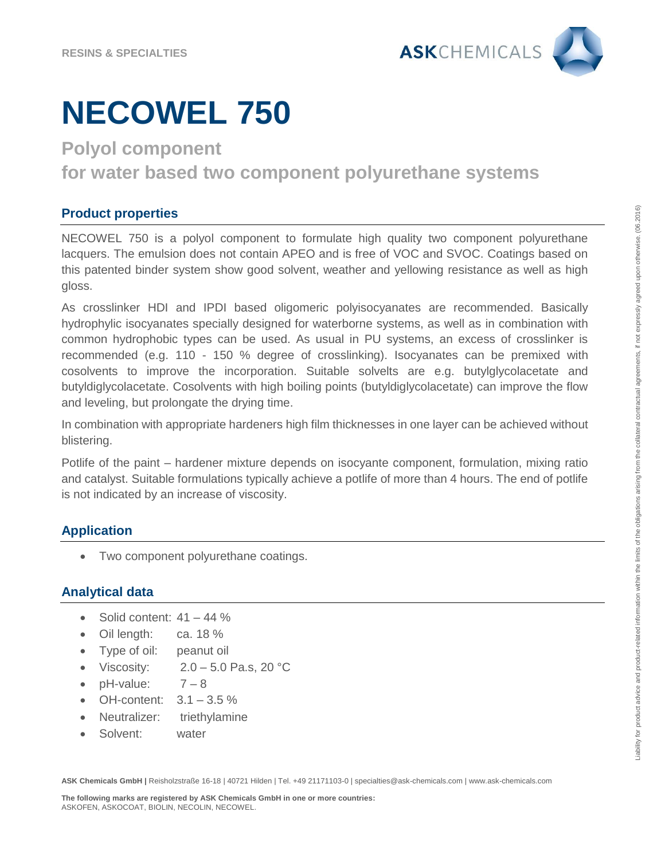

**Polyol component** 

**for water based two component polyurethane systems**

### **Product properties**

NECOWEL 750 is a polyol component to formulate high quality two component polyurethane lacquers. The emulsion does not contain APEO and is free of VOC and SVOC. Coatings based on this patented binder system show good solvent, weather and yellowing resistance as well as high gloss.

As crosslinker HDI and IPDI based oligomeric polyisocyanates are recommended. Basically hydrophylic isocyanates specially designed for waterborne systems, as well as in combination with common hydrophobic types can be used. As usual in PU systems, an excess of crosslinker is recommended (e.g. 110 - 150 % degree of crosslinking). Isocyanates can be premixed with cosolvents to improve the incorporation. Suitable solvelts are e.g. butylglycolacetate and butyldiglycolacetate. Cosolvents with high boiling points (butyldiglycolacetate) can improve the flow and leveling, but prolongate the drying time.

In combination with appropriate hardeners high film thicknesses in one layer can be achieved without blistering.

Potlife of the paint – hardener mixture depends on isocyante component, formulation, mixing ratio and catalyst. Suitable formulations typically achieve a potlife of more than 4 hours. The end of potlife is not indicated by an increase of viscosity.

## **Application**

• Two component polyurethane coatings.

## **Analytical data**

- $\bullet$  Solid content:  $41 44 \%$
- Oil length: ca. 18 %
- Type of oil: peanut oil
- Viscosity:  $2.0 5.0$  Pa.s, 20 °C
- $\bullet$  pH-value:  $7-8$
- OH-content:  $3.1 3.5 \%$
- Neutralizer: triethylamine
- Solvent: water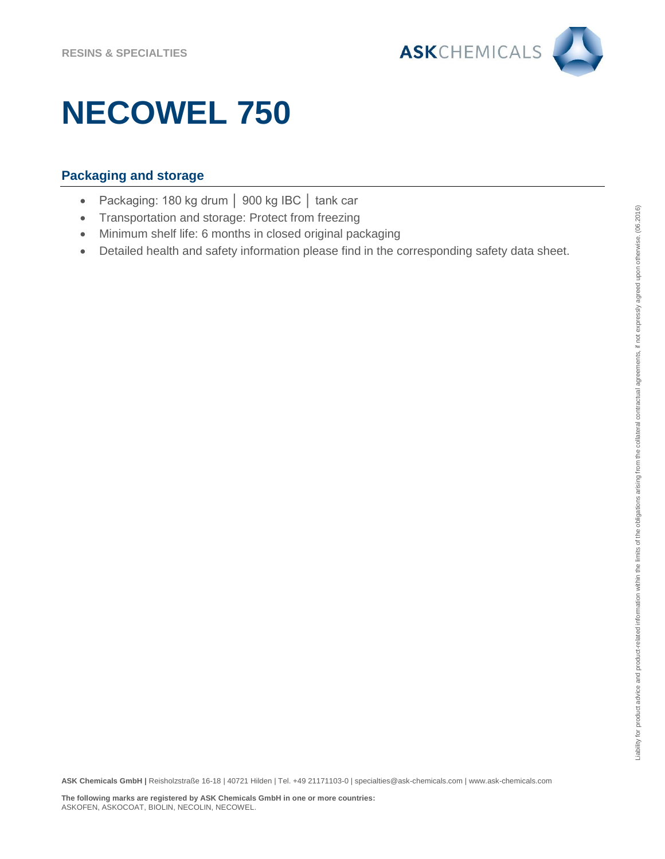

## **Packaging and storage**

- Packaging: 180 kg drum │ 900 kg IBC │ tank car
- Transportation and storage: Protect from freezing
- Minimum shelf life: 6 months in closed original packaging
- Detailed health and safety information please find in the corresponding safety data sheet.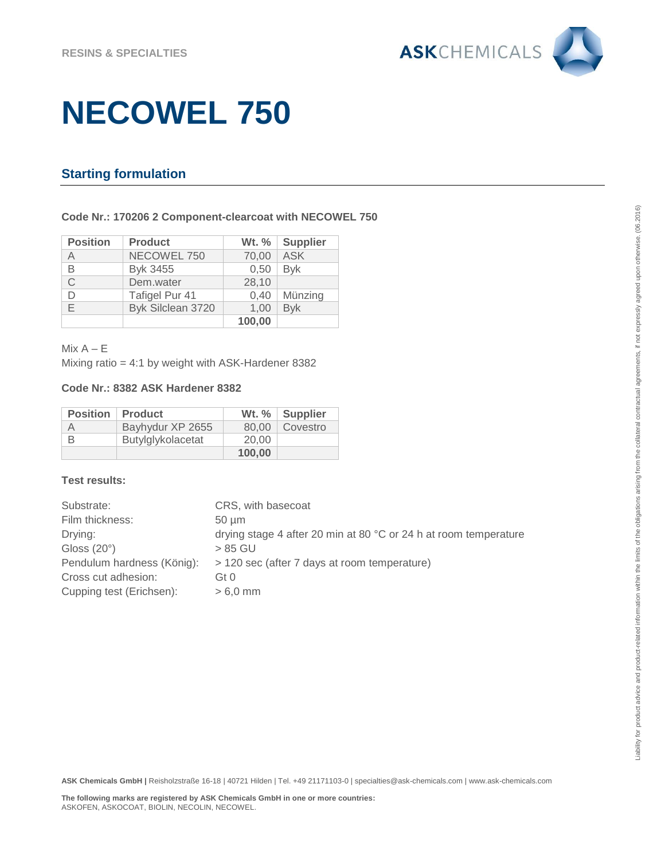

## **Starting formulation**

### **Code Nr.: 170206 2 Component-clearcoat with NECOWEL 750**

| <b>Position</b> | <b>Product</b>    | Wt. $%$ | Supplier    |
|-----------------|-------------------|---------|-------------|
| Α               | NECOWEL 750       | 70,00   | ASK         |
| B               | Byk 3455          | 0,50    | <b>B</b> vk |
| С               | Dem.water         | 28,10   |             |
|                 | Tafigel Pur 41    | 0,40    | Münzing     |
| F               | Byk Silclean 3720 | 1,00    | <b>Byk</b>  |
|                 |                   | 100,00  |             |

 $Mix A – E$ 

Mixing ratio = 4:1 by weight with ASK-Hardener 8382

### **Code Nr.: 8382 ASK Hardener 8382**

| <b>Position</b> | <b>Product</b>    |        | Wt. $%$ Supplier |
|-----------------|-------------------|--------|------------------|
| Α               | Bayhydur XP 2655  |        | 80.00   Covestro |
| В               | Butylglykolacetat | 20.00  |                  |
|                 |                   | 100.00 |                  |

### **Test results:**

| Substrate:                 | CRS, with basecoat                                               |
|----------------------------|------------------------------------------------------------------|
| Film thickness:            | $50 \mu m$                                                       |
| Drying:                    | drying stage 4 after 20 min at 80 °C or 24 h at room temperature |
| Gloss $(20^\circ)$         | > 85 GU                                                          |
| Pendulum hardness (König): | > 120 sec (after 7 days at room temperature)                     |
| Cross cut adhesion:        | Gt 0                                                             |
| Cupping test (Erichsen):   | $> 6.0$ mm                                                       |